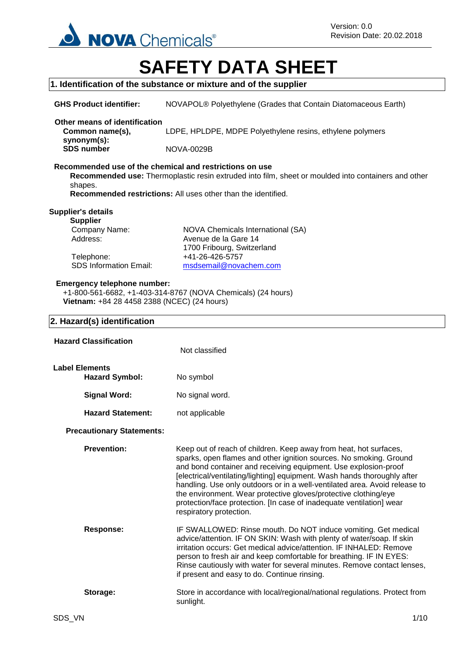

# **SAFETY DATA SHEET**

## **1. Identification of the substance or mixture and of the supplier GHS Product identifier:** NOVAPOL® Polyethylene (Grades that Contain Diatomaceous Earth) **Other means of identification Common name(s), synonym(s):** LDPE, HPLDPE, MDPE Polyethylene resins, ethylene polymers **SDS number** NOVA-0029B **Recommended use of the chemical and restrictions on use Recommended use:** Thermoplastic resin extruded into film, sheet or moulded into containers and other shapes. **Recommended restrictions:** All uses other than the identified. **Supplier's details Supplier** Company Name: NOVA Chemicals International (SA) Address: Avenue de la Gare 14 1700 Fribourg, Switzerland Telephone: +41-26-426-5757 SDS Information Email: [msdsemail@novachem.com](mailto:msdsemail@novachem.com) **Emergency telephone number:** +1-800-561-6682, +1-403-314-8767 (NOVA Chemicals) (24 hours) **Vietnam:** +84 28 4458 2388 (NCEC) (24 hours) **2. Hazard(s) identification Hazard Classification** Not classified Hazard Symbol: No symbol **Signal Word:** No signal word. **Hazard Statement:** not applicable **Precautionary Statements: Prevention:** Keep out of reach of children. Keep away from heat, hot surfaces, sparks, open flames and other ignition sources. No smoking. Ground and bond container and receiving equipment. Use explosion-proof [electrical/ventilating/lighting] equipment. Wash hands thoroughly after handling. Use only outdoors or in a well-ventilated area. Avoid release to the environment. Wear protective gloves/protective clothing/eye protection/face protection. [In case of inadequate ventilation] wear respiratory protection. **Response:** IF SWALLOWED: Rinse mouth. Do NOT induce vomiting. Get medical advice/attention. IF ON SKIN: Wash with plenty of water/soap. If skin irritation occurs: Get medical advice/attention. IF INHALED: Remove person to fresh air and keep comfortable for breathing. IF IN EYES: Rinse cautiously with water for several minutes. Remove contact lenses, if present and easy to do. Continue rinsing. **Storage:** Store in accordance with local/regional/national regulations. Protect from sunlight. **Label Elements**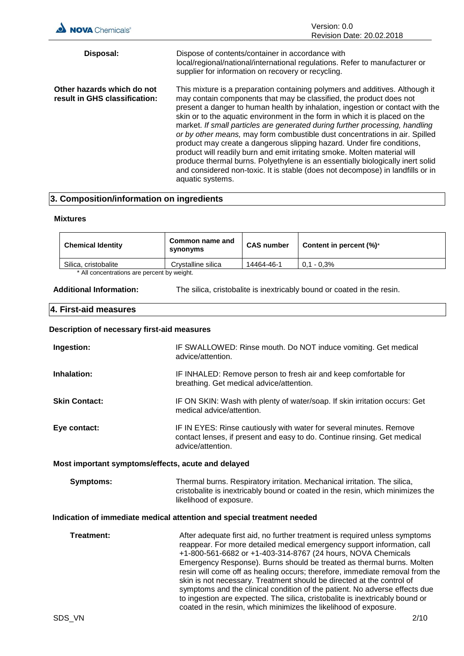| <b>NOVA</b> Chemicals®                                      | Version: 0.0<br>Revision Date: 20.02.2018                                                                                                                                                                                                                                                                                                                                                                                                                                                                                                                                                                                                                                                                                                                                                                                         |
|-------------------------------------------------------------|-----------------------------------------------------------------------------------------------------------------------------------------------------------------------------------------------------------------------------------------------------------------------------------------------------------------------------------------------------------------------------------------------------------------------------------------------------------------------------------------------------------------------------------------------------------------------------------------------------------------------------------------------------------------------------------------------------------------------------------------------------------------------------------------------------------------------------------|
| Disposal:                                                   | Dispose of contents/container in accordance with<br>local/regional/national/international regulations. Refer to manufacturer or<br>supplier for information on recovery or recycling.                                                                                                                                                                                                                                                                                                                                                                                                                                                                                                                                                                                                                                             |
| Other hazards which do not<br>result in GHS classification: | This mixture is a preparation containing polymers and additives. Although it<br>may contain components that may be classified, the product does not<br>present a danger to human health by inhalation, ingestion or contact with the<br>skin or to the aquatic environment in the form in which it is placed on the<br>market. If small particles are generated during further processing, handling<br>or by other means, may form combustible dust concentrations in air. Spilled<br>product may create a dangerous slipping hazard. Under fire conditions,<br>product will readily burn and emit irritating smoke. Molten material will<br>produce thermal burns. Polyethylene is an essentially biologically inert solid<br>and considered non-toxic. It is stable (does not decompose) in landfills or in<br>aquatic systems. |

## **3. Composition/information on ingredients**

### **Mixtures**

| <b>Chemical Identity</b>                   | Common name and<br>synonyms | <b>CAS number</b> | Content in percent $(\%)^*$ |
|--------------------------------------------|-----------------------------|-------------------|-----------------------------|
| Silica, cristobalite                       | Crystalline silica          | 14464-46-1        | $0.1 - 0.3\%$               |
| * All concentrations are percent by weight |                             |                   |                             |

ns are percent by weig

**Additional Information:** The silica, cristobalite is inextricably bound or coated in the resin.

coated in the resin, which minimizes the likelihood of exposure.

### **4. First-aid measures**

## **Description of necessary first-aid measures**

| Ingestion:                                                             | IF SWALLOWED: Rinse mouth. Do NOT induce vomiting. Get medical<br>advice/attention.                                                                                                                                                                                                                                                                                                                                                                                                                                                                                                                                   |  |
|------------------------------------------------------------------------|-----------------------------------------------------------------------------------------------------------------------------------------------------------------------------------------------------------------------------------------------------------------------------------------------------------------------------------------------------------------------------------------------------------------------------------------------------------------------------------------------------------------------------------------------------------------------------------------------------------------------|--|
| Inhalation:                                                            | IF INHALED: Remove person to fresh air and keep comfortable for<br>breathing. Get medical advice/attention.                                                                                                                                                                                                                                                                                                                                                                                                                                                                                                           |  |
| <b>Skin Contact:</b>                                                   | IF ON SKIN: Wash with plenty of water/soap. If skin irritation occurs: Get<br>medical advice/attention.                                                                                                                                                                                                                                                                                                                                                                                                                                                                                                               |  |
| Eye contact:                                                           | IF IN EYES: Rinse cautiously with water for several minutes. Remove<br>contact lenses, if present and easy to do. Continue rinsing. Get medical<br>advice/attention.                                                                                                                                                                                                                                                                                                                                                                                                                                                  |  |
| Most important symptoms/effects, acute and delayed                     |                                                                                                                                                                                                                                                                                                                                                                                                                                                                                                                                                                                                                       |  |
| <b>Symptoms:</b>                                                       | Thermal burns. Respiratory irritation. Mechanical irritation. The silica,<br>cristobalite is inextricably bound or coated in the resin, which minimizes the<br>likelihood of exposure.                                                                                                                                                                                                                                                                                                                                                                                                                                |  |
| Indication of immediate medical attention and special treatment needed |                                                                                                                                                                                                                                                                                                                                                                                                                                                                                                                                                                                                                       |  |
| <b>Treatment:</b>                                                      | After adequate first aid, no further treatment is required unless symptoms<br>reappear. For more detailed medical emergency support information, call<br>+1-800-561-6682 or +1-403-314-8767 (24 hours, NOVA Chemicals<br>Emergency Response). Burns should be treated as thermal burns. Molten<br>resin will come off as healing occurs; therefore, immediate removal from the<br>skin is not necessary. Treatment should be directed at the control of<br>symptoms and the clinical condition of the patient. No adverse effects due<br>to ingestion are expected. The silica, cristobalite is inextricably bound or |  |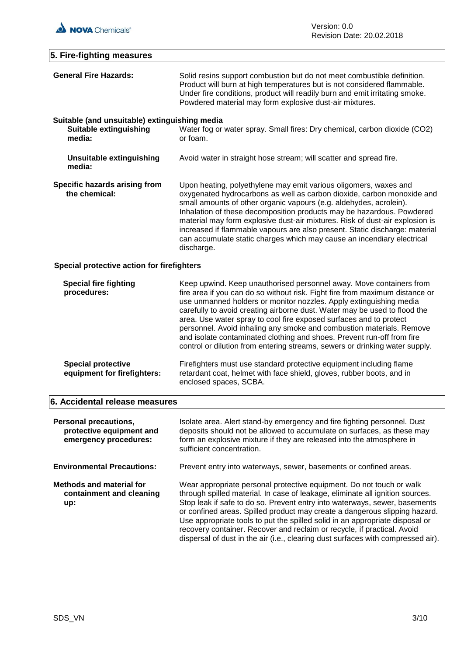

| 5. Fire-fighting measures                                                                |                                                                                                                                                                                                                                                                                                                                                                                                                                                                                                                                                  |
|------------------------------------------------------------------------------------------|--------------------------------------------------------------------------------------------------------------------------------------------------------------------------------------------------------------------------------------------------------------------------------------------------------------------------------------------------------------------------------------------------------------------------------------------------------------------------------------------------------------------------------------------------|
| <b>General Fire Hazards:</b>                                                             | Solid resins support combustion but do not meet combustible definition.<br>Product will burn at high temperatures but is not considered flammable.<br>Under fire conditions, product will readily burn and emit irritating smoke.<br>Powdered material may form explosive dust-air mixtures.                                                                                                                                                                                                                                                     |
| Suitable (and unsuitable) extinguishing media<br><b>Suitable extinguishing</b><br>media: | Water fog or water spray. Small fires: Dry chemical, carbon dioxide (CO2)<br>or foam.                                                                                                                                                                                                                                                                                                                                                                                                                                                            |
| Unsuitable extinguishing<br>media:                                                       | Avoid water in straight hose stream; will scatter and spread fire.                                                                                                                                                                                                                                                                                                                                                                                                                                                                               |
| Specific hazards arising from<br>the chemical:                                           | Upon heating, polyethylene may emit various oligomers, waxes and<br>oxygenated hydrocarbons as well as carbon dioxide, carbon monoxide and<br>small amounts of other organic vapours (e.g. aldehydes, acrolein).<br>Inhalation of these decomposition products may be hazardous. Powdered<br>material may form explosive dust-air mixtures. Risk of dust-air explosion is<br>increased if flammable vapours are also present. Static discharge: material<br>can accumulate static charges which may cause an incendiary electrical<br>discharge. |
| Special protective action for firefighters                                               |                                                                                                                                                                                                                                                                                                                                                                                                                                                                                                                                                  |

| <b>Special fire fighting</b><br>procedures:              | Keep upwind. Keep unauthorised personnel away. Move containers from<br>fire area if you can do so without risk. Fight fire from maximum distance or<br>use unmanned holders or monitor nozzles. Apply extinguishing media<br>carefully to avoid creating airborne dust. Water may be used to flood the<br>area. Use water spray to cool fire exposed surfaces and to protect<br>personnel. Avoid inhaling any smoke and combustion materials. Remove<br>and isolate contaminated clothing and shoes. Prevent run-off from fire<br>control or dilution from entering streams, sewers or drinking water supply. |
|----------------------------------------------------------|---------------------------------------------------------------------------------------------------------------------------------------------------------------------------------------------------------------------------------------------------------------------------------------------------------------------------------------------------------------------------------------------------------------------------------------------------------------------------------------------------------------------------------------------------------------------------------------------------------------|
| <b>Special protective</b><br>equipment for firefighters: | Firefighters must use standard protective equipment including flame<br>retardant coat, helmet with face shield, gloves, rubber boots, and in<br>enclosed spaces, SCBA.                                                                                                                                                                                                                                                                                                                                                                                                                                        |

## **6. Accidental release measures**

| <b>Personal precautions,</b><br>protective equipment and<br>emergency procedures: | Isolate area. Alert stand-by emergency and fire fighting personnel. Dust<br>deposits should not be allowed to accumulate on surfaces, as these may<br>form an explosive mixture if they are released into the atmosphere in<br>sufficient concentration.                                                                                                                                                                                                                                                                                                         |
|-----------------------------------------------------------------------------------|------------------------------------------------------------------------------------------------------------------------------------------------------------------------------------------------------------------------------------------------------------------------------------------------------------------------------------------------------------------------------------------------------------------------------------------------------------------------------------------------------------------------------------------------------------------|
| <b>Environmental Precautions:</b>                                                 | Prevent entry into waterways, sewer, basements or confined areas.                                                                                                                                                                                                                                                                                                                                                                                                                                                                                                |
| <b>Methods and material for</b><br>containment and cleaning<br>up:                | Wear appropriate personal protective equipment. Do not touch or walk<br>through spilled material. In case of leakage, eliminate all ignition sources.<br>Stop leak if safe to do so. Prevent entry into waterways, sewer, basements<br>or confined areas. Spilled product may create a dangerous slipping hazard.<br>Use appropriate tools to put the spilled solid in an appropriate disposal or<br>recovery container. Recover and reclaim or recycle, if practical. Avoid<br>dispersal of dust in the air (i.e., clearing dust surfaces with compressed air). |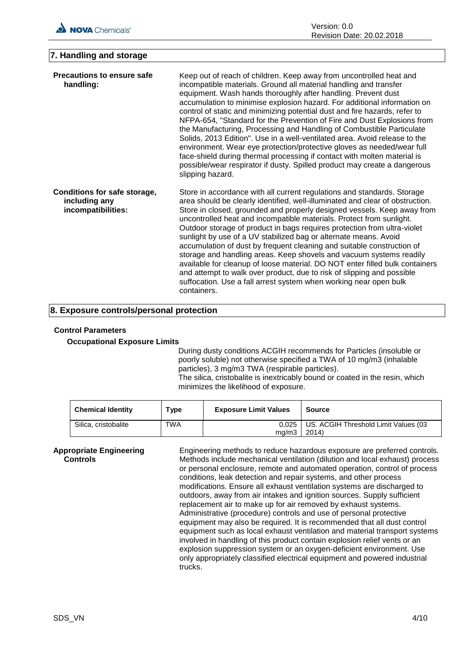## **7. Handling and storage**

| <b>Precautions to ensure safe</b><br>handling:                      | Keep out of reach of children. Keep away from uncontrolled heat and<br>incompatible materials. Ground all material handling and transfer<br>equipment. Wash hands thoroughly after handling. Prevent dust<br>accumulation to minimise explosion hazard. For additional information on<br>control of static and minimizing potential dust and fire hazards, refer to<br>NFPA-654, "Standard for the Prevention of Fire and Dust Explosions from<br>the Manufacturing, Processing and Handling of Combustible Particulate<br>Solids, 2013 Edition". Use in a well-ventilated area. Avoid release to the<br>environment. Wear eye protection/protective gloves as needed/wear full<br>face-shield during thermal processing if contact with molten material is<br>possible/wear respirator if dusty. Spilled product may create a dangerous<br>slipping hazard. |
|---------------------------------------------------------------------|--------------------------------------------------------------------------------------------------------------------------------------------------------------------------------------------------------------------------------------------------------------------------------------------------------------------------------------------------------------------------------------------------------------------------------------------------------------------------------------------------------------------------------------------------------------------------------------------------------------------------------------------------------------------------------------------------------------------------------------------------------------------------------------------------------------------------------------------------------------|
| Conditions for safe storage,<br>including any<br>incompatibilities: | Store in accordance with all current regulations and standards. Storage<br>area should be clearly identified, well-illuminated and clear of obstruction.<br>Store in closed, grounded and properly designed vessels. Keep away from<br>uncontrolled heat and incompatible materials. Protect from sunlight.<br>Outdoor storage of product in bags requires protection from ultra-violet<br>sunlight by use of a UV stabilized bag or alternate means. Avoid<br>accumulation of dust by frequent cleaning and suitable construction of<br>storage and handling areas. Keep shovels and vacuum systems readily<br>available for cleanup of loose material. DO NOT enter filled bulk containers<br>and attempt to walk over product, due to risk of slipping and possible<br>suffocation. Use a fall arrest system when working near open bulk<br>containers.   |

## **8. Exposure controls/personal protection**

## **Control Parameters**

## **Occupational Exposure Limits**

During dusty conditions ACGIH recommends for Particles (insoluble or poorly soluble) not otherwise specified a TWA of 10 mg/m3 (inhalable particles), 3 mg/m3 TWA (respirable particles). The silica, cristobalite is inextricably bound or coated in the resin, which minimizes the likelihood of exposure.

| <b>Chemical Identity</b> | Type | <b>Exposure Limit Values</b> | <b>Source</b>                        |
|--------------------------|------|------------------------------|--------------------------------------|
| Silica, cristobalite     | TWA  | 0.025                        | US. ACGIH Threshold Limit Values (03 |
|                          |      | ma/m3                        | 2014)                                |

**Appropriate Engineering Controls** Engineering methods to reduce hazardous exposure are preferred controls. Methods include mechanical ventilation (dilution and local exhaust) process or personal enclosure, remote and automated operation, control of process conditions, leak detection and repair systems, and other process modifications. Ensure all exhaust ventilation systems are discharged to outdoors, away from air intakes and ignition sources. Supply sufficient replacement air to make up for air removed by exhaust systems. Administrative (procedure) controls and use of personal protective equipment may also be required. It is recommended that all dust control equipment such as local exhaust ventilation and material transport systems involved in handling of this product contain explosion relief vents or an explosion suppression system or an oxygen-deficient environment. Use only appropriately classified electrical equipment and powered industrial trucks.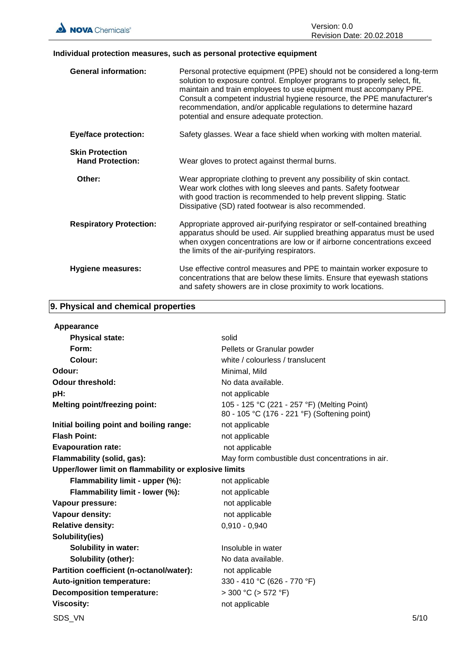

## **Individual protection measures, such as personal protective equipment**

| <b>General information:</b>                       | Personal protective equipment (PPE) should not be considered a long-term<br>solution to exposure control. Employer programs to properly select, fit,<br>maintain and train employees to use equipment must accompany PPE.<br>Consult a competent industrial hygiene resource, the PPE manufacturer's<br>recommendation, and/or applicable regulations to determine hazard<br>potential and ensure adequate protection. |
|---------------------------------------------------|------------------------------------------------------------------------------------------------------------------------------------------------------------------------------------------------------------------------------------------------------------------------------------------------------------------------------------------------------------------------------------------------------------------------|
| <b>Eye/face protection:</b>                       | Safety glasses. Wear a face shield when working with molten material.                                                                                                                                                                                                                                                                                                                                                  |
| <b>Skin Protection</b><br><b>Hand Protection:</b> | Wear gloves to protect against thermal burns.                                                                                                                                                                                                                                                                                                                                                                          |
| Other:                                            | Wear appropriate clothing to prevent any possibility of skin contact.<br>Wear work clothes with long sleeves and pants. Safety footwear<br>with good traction is recommended to help prevent slipping. Static<br>Dissipative (SD) rated footwear is also recommended.                                                                                                                                                  |
| <b>Respiratory Protection:</b>                    | Appropriate approved air-purifying respirator or self-contained breathing<br>apparatus should be used. Air supplied breathing apparatus must be used<br>when oxygen concentrations are low or if airborne concentrations exceed<br>the limits of the air-purifying respirators.                                                                                                                                        |
| <b>Hygiene measures:</b>                          | Use effective control measures and PPE to maintain worker exposure to<br>concentrations that are below these limits. Ensure that eyewash stations<br>and safety showers are in close proximity to work locations.                                                                                                                                                                                                      |

## **9. Physical and chemical properties**

| Appearance                                            |                                                                                             |      |
|-------------------------------------------------------|---------------------------------------------------------------------------------------------|------|
| <b>Physical state:</b>                                | solid                                                                                       |      |
| Form:                                                 | Pellets or Granular powder                                                                  |      |
| Colour:                                               | white / colourless / translucent                                                            |      |
| Odour:                                                | Minimal, Mild                                                                               |      |
| <b>Odour threshold:</b>                               | No data available.                                                                          |      |
| pH:                                                   | not applicable                                                                              |      |
| <b>Melting point/freezing point:</b>                  | 105 - 125 °C (221 - 257 °F) (Melting Point)<br>80 - 105 °C (176 - 221 °F) (Softening point) |      |
| Initial boiling point and boiling range:              | not applicable                                                                              |      |
| <b>Flash Point:</b>                                   | not applicable                                                                              |      |
| <b>Evapouration rate:</b>                             | not applicable                                                                              |      |
| Flammability (solid, gas):                            | May form combustible dust concentrations in air.                                            |      |
| Upper/lower limit on flammability or explosive limits |                                                                                             |      |
| Flammability limit - upper (%):                       | not applicable                                                                              |      |
| Flammability limit - lower (%):                       | not applicable                                                                              |      |
| Vapour pressure:                                      | not applicable                                                                              |      |
| Vapour density:                                       | not applicable                                                                              |      |
| <b>Relative density:</b>                              | $0,910 - 0,940$                                                                             |      |
| Solubility(ies)                                       |                                                                                             |      |
| <b>Solubility in water:</b>                           | Insoluble in water                                                                          |      |
| Solubility (other):                                   | No data available.                                                                          |      |
| Partition coefficient (n-octanol/water):              | not applicable                                                                              |      |
| Auto-ignition temperature:                            | 330 - 410 °C (626 - 770 °F)                                                                 |      |
| <b>Decomposition temperature:</b>                     | $>$ 300 °C ( $>$ 572 °F)                                                                    |      |
| <b>Viscosity:</b>                                     | not applicable                                                                              |      |
| SDS VN                                                |                                                                                             | 5/10 |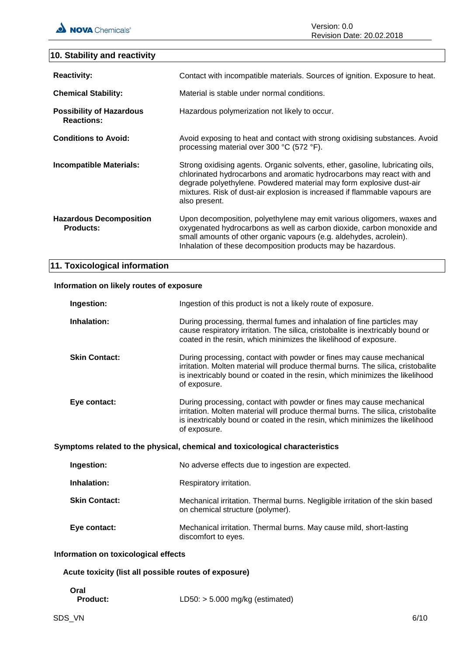## **10. Stability and reactivity**

| <b>Reactivity:</b>                                   | Contact with incompatible materials. Sources of ignition. Exposure to heat.                                                                                                                                                                                                                                                  |
|------------------------------------------------------|------------------------------------------------------------------------------------------------------------------------------------------------------------------------------------------------------------------------------------------------------------------------------------------------------------------------------|
| <b>Chemical Stability:</b>                           | Material is stable under normal conditions.                                                                                                                                                                                                                                                                                  |
| <b>Possibility of Hazardous</b><br><b>Reactions:</b> | Hazardous polymerization not likely to occur.                                                                                                                                                                                                                                                                                |
| <b>Conditions to Avoid:</b>                          | Avoid exposing to heat and contact with strong oxidising substances. Avoid<br>processing material over 300 °C (572 °F).                                                                                                                                                                                                      |
| Incompatible Materials:                              | Strong oxidising agents. Organic solvents, ether, gasoline, lubricating oils,<br>chlorinated hydrocarbons and aromatic hydrocarbons may react with and<br>degrade polyethylene. Powdered material may form explosive dust-air<br>mixtures. Risk of dust-air explosion is increased if flammable vapours are<br>also present. |
| <b>Hazardous Decomposition</b><br><b>Products:</b>   | Upon decomposition, polyethylene may emit various oligomers, waxes and<br>oxygenated hydrocarbons as well as carbon dioxide, carbon monoxide and<br>small amounts of other organic vapours (e.g. aldehydes, acrolein).<br>Inhalation of these decomposition products may be hazardous.                                       |

## **11. Toxicological information**

## **Information on likely routes of exposure**

| Ingestion:                           | Ingestion of this product is not a likely route of exposure.                                                                                                                                                                                             |
|--------------------------------------|----------------------------------------------------------------------------------------------------------------------------------------------------------------------------------------------------------------------------------------------------------|
| Inhalation:                          | During processing, thermal fumes and inhalation of fine particles may<br>cause respiratory irritation. The silica, cristobalite is inextricably bound or<br>coated in the resin, which minimizes the likelihood of exposure.                             |
| <b>Skin Contact:</b>                 | During processing, contact with powder or fines may cause mechanical<br>irritation. Molten material will produce thermal burns. The silica, cristobalite<br>is inextricably bound or coated in the resin, which minimizes the likelihood<br>of exposure. |
| Eye contact:                         | During processing, contact with powder or fines may cause mechanical<br>irritation. Molten material will produce thermal burns. The silica, cristobalite<br>is inextricably bound or coated in the resin, which minimizes the likelihood<br>of exposure. |
|                                      | Symptoms related to the physical, chemical and toxicological characteristics                                                                                                                                                                             |
| Ingestion:                           | No adverse effects due to ingestion are expected.                                                                                                                                                                                                        |
| Inhalation:                          | Respiratory irritation.                                                                                                                                                                                                                                  |
| <b>Skin Contact:</b>                 | Mechanical irritation. Thermal burns. Negligible irritation of the skin based<br>on chemical structure (polymer).                                                                                                                                        |
| Eye contact:                         | Mechanical irritation. Thermal burns. May cause mild, short-lasting<br>discomfort to eyes.                                                                                                                                                               |
| Information on toxicological effects |                                                                                                                                                                                                                                                          |

## **Acute toxicity (list all possible routes of exposure)**

- **Oral**
	- Product: LD50: > 5.000 mg/kg (estimated)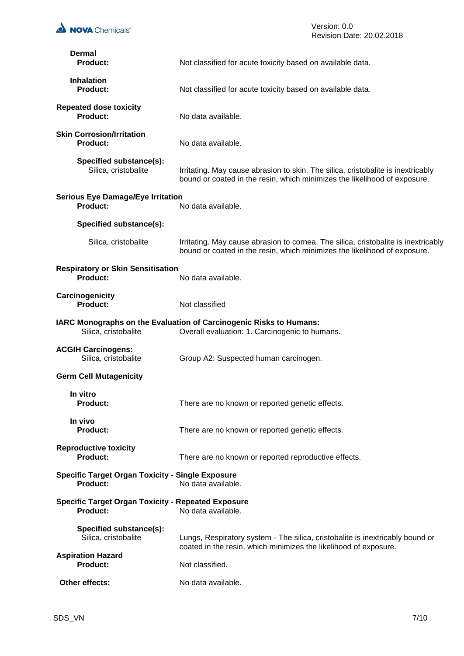| <b>NOVA</b> Chemicals®                                                | Version: 0.0<br>Revision Date: 20.02.2018                                                                                                                       |
|-----------------------------------------------------------------------|-----------------------------------------------------------------------------------------------------------------------------------------------------------------|
| Dermal<br><b>Product:</b>                                             | Not classified for acute toxicity based on available data.                                                                                                      |
| <b>Inhalation</b><br><b>Product:</b>                                  | Not classified for acute toxicity based on available data.                                                                                                      |
| <b>Repeated dose toxicity</b><br>Product:                             | No data available.                                                                                                                                              |
| <b>Skin Corrosion/Irritation</b><br><b>Product:</b>                   | No data available.                                                                                                                                              |
| Specified substance(s):<br>Silica, cristobalite                       | Irritating. May cause abrasion to skin. The silica, cristobalite is inextricably<br>bound or coated in the resin, which minimizes the likelihood of exposure.   |
| <b>Serious Eye Damage/Eye Irritation</b><br><b>Product:</b>           | No data available.                                                                                                                                              |
| Specified substance(s):                                               |                                                                                                                                                                 |
| Silica, cristobalite                                                  | Irritating. May cause abrasion to cornea. The silica, cristobalite is inextricably<br>bound or coated in the resin, which minimizes the likelihood of exposure. |
| <b>Respiratory or Skin Sensitisation</b><br><b>Product:</b>           | No data available.                                                                                                                                              |
| Carcinogenicity<br>Product:                                           | Not classified                                                                                                                                                  |
| Silica, cristobalite                                                  | IARC Monographs on the Evaluation of Carcinogenic Risks to Humans:<br>Overall evaluation: 1. Carcinogenic to humans.                                            |
| <b>ACGIH Carcinogens:</b><br>Silica, cristobalite                     | Group A2: Suspected human carcinogen.                                                                                                                           |
| <b>Germ Cell Mutagenicity</b>                                         |                                                                                                                                                                 |
| In vitro<br><b>Product:</b>                                           | There are no known or reported genetic effects.                                                                                                                 |
| In vivo<br><b>Product:</b>                                            | There are no known or reported genetic effects.                                                                                                                 |
| <b>Reproductive toxicity</b><br>Product:                              | There are no known or reported reproductive effects.                                                                                                            |
| <b>Specific Target Organ Toxicity - Single Exposure</b><br>Product:   | No data available.                                                                                                                                              |
| <b>Specific Target Organ Toxicity - Repeated Exposure</b><br>Product: | No data available.                                                                                                                                              |
| Specified substance(s):<br>Silica, cristobalite                       | Lungs, Respiratory system - The silica, cristobalite is inextricably bound or                                                                                   |
| <b>Aspiration Hazard</b><br>Product:                                  | coated in the resin, which minimizes the likelihood of exposure.<br>Not classified.                                                                             |
| Other effects:                                                        | No data available.                                                                                                                                              |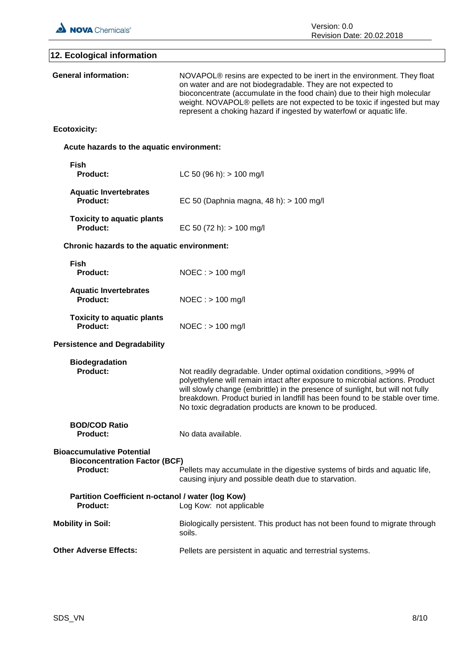

| 12. Ecological information                                                                  |                                                                                                                                                                                                                                                                                                                                                                                  |
|---------------------------------------------------------------------------------------------|----------------------------------------------------------------------------------------------------------------------------------------------------------------------------------------------------------------------------------------------------------------------------------------------------------------------------------------------------------------------------------|
| <b>General information:</b>                                                                 | NOVAPOL® resins are expected to be inert in the environment. They float<br>on water and are not biodegradable. They are not expected to<br>bioconcentrate (accumulate in the food chain) due to their high molecular<br>weight. NOVAPOL® pellets are not expected to be toxic if ingested but may<br>represent a choking hazard if ingested by waterfowl or aquatic life.        |
| <b>Ecotoxicity:</b>                                                                         |                                                                                                                                                                                                                                                                                                                                                                                  |
| Acute hazards to the aquatic environment:                                                   |                                                                                                                                                                                                                                                                                                                                                                                  |
| <b>Fish</b><br><b>Product:</b>                                                              | LC 50 (96 h): $> 100$ mg/l                                                                                                                                                                                                                                                                                                                                                       |
| <b>Aquatic Invertebrates</b><br>Product:                                                    | EC 50 (Daphnia magna, 48 h): > 100 mg/l                                                                                                                                                                                                                                                                                                                                          |
| <b>Toxicity to aquatic plants</b><br>Product:                                               | EC 50 (72 h): $> 100$ mg/l                                                                                                                                                                                                                                                                                                                                                       |
| Chronic hazards to the aquatic environment:                                                 |                                                                                                                                                                                                                                                                                                                                                                                  |
| <b>Fish</b><br><b>Product:</b>                                                              | $NOEC : > 100$ mg/l                                                                                                                                                                                                                                                                                                                                                              |
| <b>Aquatic Invertebrates</b><br><b>Product:</b>                                             | $NOEC : > 100$ mg/l                                                                                                                                                                                                                                                                                                                                                              |
| <b>Toxicity to aquatic plants</b><br><b>Product:</b>                                        | $NOEC : > 100$ mg/l                                                                                                                                                                                                                                                                                                                                                              |
| <b>Persistence and Degradability</b>                                                        |                                                                                                                                                                                                                                                                                                                                                                                  |
| <b>Biodegradation</b><br>Product:                                                           | Not readily degradable. Under optimal oxidation conditions, >99% of<br>polyethylene will remain intact after exposure to microbial actions. Product<br>will slowly change (embrittle) in the presence of sunlight, but will not fully<br>breakdown. Product buried in landfill has been found to be stable over time.<br>No toxic degradation products are known to be produced. |
| <b>BOD/COD Ratio</b><br><b>Product:</b>                                                     | No data available.                                                                                                                                                                                                                                                                                                                                                               |
| <b>Bioaccumulative Potential</b><br><b>Bioconcentration Factor (BCF)</b><br><b>Product:</b> | Pellets may accumulate in the digestive systems of birds and aquatic life,<br>causing injury and possible death due to starvation.                                                                                                                                                                                                                                               |
| Partition Coefficient n-octanol / water (log Kow)<br>Product:                               | Log Kow: not applicable                                                                                                                                                                                                                                                                                                                                                          |
| <b>Mobility in Soil:</b>                                                                    | Biologically persistent. This product has not been found to migrate through<br>soils.                                                                                                                                                                                                                                                                                            |
| <b>Other Adverse Effects:</b>                                                               | Pellets are persistent in aquatic and terrestrial systems.                                                                                                                                                                                                                                                                                                                       |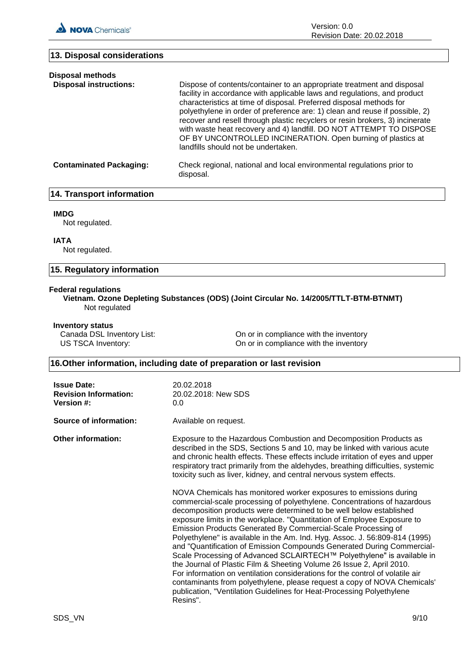**13. Disposal considerations**

Version: 0.0 Revision Date: 20.02.2018

| Dispose of contents/container to an appropriate treatment and disposal<br>facility in accordance with applicable laws and regulations, and product<br>characteristics at time of disposal. Preferred disposal methods for<br>polyethylene in order of preference are: 1) clean and reuse if possible, 2)<br>recover and resell through plastic recyclers or resin brokers, 3) incinerate<br>with waste heat recovery and 4) landfill. DO NOT ATTEMPT TO DISPOSE<br>OF BY UNCONTROLLED INCINERATION. Open burning of plastics at<br>landfills should not be undertaken. |
|------------------------------------------------------------------------------------------------------------------------------------------------------------------------------------------------------------------------------------------------------------------------------------------------------------------------------------------------------------------------------------------------------------------------------------------------------------------------------------------------------------------------------------------------------------------------|
| Check regional, national and local environmental regulations prior to<br>disposal.                                                                                                                                                                                                                                                                                                                                                                                                                                                                                     |
|                                                                                                                                                                                                                                                                                                                                                                                                                                                                                                                                                                        |

## **14. Transport information**

#### **IMDG**

Not regulated.

#### **IATA**

Not regulated.

## **15. Regulatory information**

#### **Federal regulations**

**Vietnam. Ozone Depleting Substances (ODS) (Joint Circular No. 14/2005/TTLT-BTM-BTNMT)** Not regulated

#### **Inventory status**

Canada DSL Inventory List: On or in compliance with the inventory US TSCA Inventory:  $\qquad \qquad \qquad$  On or in compliance with the inventory

## **16.Other information, including date of preparation or last revision**

| <b>Issue Date:</b><br><b>Revision Information:</b><br><b>Version #:</b> | 20.02.2018<br>20.02.2018: New SDS<br>0.0                                                                                                                                                                                                                                                                                                                                                                                                                                                                                                                                                                                                                                                                                                                                                                                                                                                                                                                                                                                                                                                                                                                                                                                                                                                                                       |
|-------------------------------------------------------------------------|--------------------------------------------------------------------------------------------------------------------------------------------------------------------------------------------------------------------------------------------------------------------------------------------------------------------------------------------------------------------------------------------------------------------------------------------------------------------------------------------------------------------------------------------------------------------------------------------------------------------------------------------------------------------------------------------------------------------------------------------------------------------------------------------------------------------------------------------------------------------------------------------------------------------------------------------------------------------------------------------------------------------------------------------------------------------------------------------------------------------------------------------------------------------------------------------------------------------------------------------------------------------------------------------------------------------------------|
| Source of information:                                                  | Available on request.                                                                                                                                                                                                                                                                                                                                                                                                                                                                                                                                                                                                                                                                                                                                                                                                                                                                                                                                                                                                                                                                                                                                                                                                                                                                                                          |
| <b>Other information:</b>                                               | Exposure to the Hazardous Combustion and Decomposition Products as<br>described in the SDS, Sections 5 and 10, may be linked with various acute<br>and chronic health effects. These effects include irritation of eyes and upper<br>respiratory tract primarily from the aldehydes, breathing difficulties, systemic<br>toxicity such as liver, kidney, and central nervous system effects.<br>NOVA Chemicals has monitored worker exposures to emissions during<br>commercial-scale processing of polyethylene. Concentrations of hazardous<br>decomposition products were determined to be well below established<br>exposure limits in the workplace. "Quantitation of Employee Exposure to<br>Emission Products Generated By Commercial-Scale Processing of<br>Polyethylene" is available in the Am. Ind. Hyg. Assoc. J. 56:809-814 (1995)<br>and "Quantification of Emission Compounds Generated During Commercial-<br>Scale Processing of Advanced SCLAIRTECH™ Polyethylene" is available in<br>the Journal of Plastic Film & Sheeting Volume 26 Issue 2, April 2010.<br>For information on ventilation considerations for the control of volatile air<br>contaminants from polyethylene, please request a copy of NOVA Chemicals'<br>publication, "Ventilation Guidelines for Heat-Processing Polyethylene<br>Resins". |